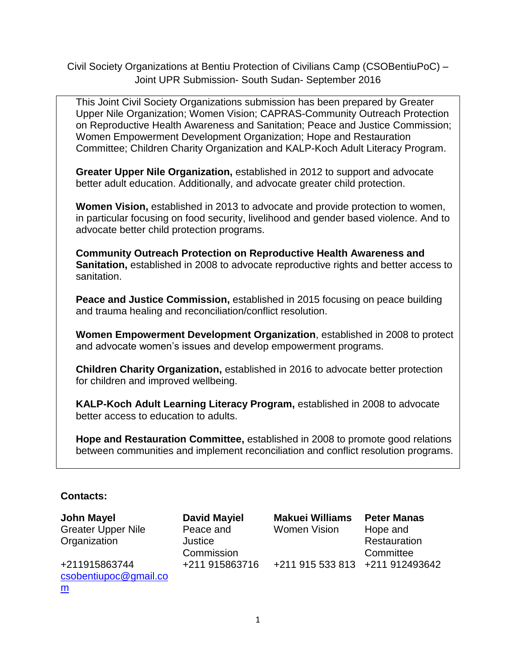Civil Society Organizations at Bentiu Protection of Civilians Camp (CSOBentiuPoC) – Joint UPR Submission- South Sudan- September 2016

This Joint Civil Society Organizations submission has been prepared by Greater Upper Nile Organization; Women Vision; CAPRAS-Community Outreach Protection on Reproductive Health Awareness and Sanitation; Peace and Justice Commission; Women Empowerment Development Organization; Hope and Restauration Committee; Children Charity Organization and KALP-Koch Adult Literacy Program.

**Greater Upper Nile Organization,** established in 2012 to support and advocate better adult education. Additionally, and advocate greater child protection.

**Women Vision,** established in 2013 to advocate and provide protection to women, in particular focusing on food security, livelihood and gender based violence. And to advocate better child protection programs.

**Community Outreach Protection on Reproductive Health Awareness and Sanitation,** established in 2008 to advocate reproductive rights and better access to sanitation.

**Peace and Justice Commission,** established in 2015 focusing on peace building and trauma healing and reconciliation/conflict resolution.

**Women Empowerment Development Organization**, established in 2008 to protect and advocate women's issues and develop empowerment programs.

**Children Charity Organization,** established in 2016 to advocate better protection for children and improved wellbeing.

**KALP-Koch Adult Learning Literacy Program,** established in 2008 to advocate better access to education to adults.

**Hope and Restauration Committee,** established in 2008 to promote good relations between communities and implement reconciliation and conflict resolution programs.

## **Contacts:**

**John Mayel**  Greater Upper Nile Organization **David Mayiel** Peace and Justice Commission **Makuei Williams** Women Vision **Peter Manas** Hope and Restauration **Committee** +211915863744 [csobentiupoc@gmail.co](mailto:csobentiupoc@gmail.com) [m](mailto:csobentiupoc@gmail.com) +211 915863716 +211 915 533 813 +211 912493642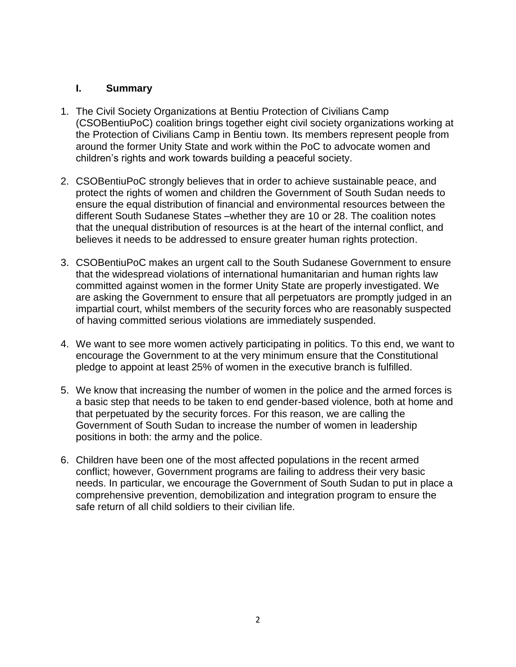#### **I. Summary**

- 1. The Civil Society Organizations at Bentiu Protection of Civilians Camp (CSOBentiuPoC) coalition brings together eight civil society organizations working at the Protection of Civilians Camp in Bentiu town. Its members represent people from around the former Unity State and work within the PoC to advocate women and children's rights and work towards building a peaceful society.
- 2. CSOBentiuPoC strongly believes that in order to achieve sustainable peace, and protect the rights of women and children the Government of South Sudan needs to ensure the equal distribution of financial and environmental resources between the different South Sudanese States –whether they are 10 or 28. The coalition notes that the unequal distribution of resources is at the heart of the internal conflict, and believes it needs to be addressed to ensure greater human rights protection.
- 3. CSOBentiuPoC makes an urgent call to the South Sudanese Government to ensure that the widespread violations of international humanitarian and human rights law committed against women in the former Unity State are properly investigated. We are asking the Government to ensure that all perpetuators are promptly judged in an impartial court, whilst members of the security forces who are reasonably suspected of having committed serious violations are immediately suspended.
- 4. We want to see more women actively participating in politics. To this end, we want to encourage the Government to at the very minimum ensure that the Constitutional pledge to appoint at least 25% of women in the executive branch is fulfilled.
- 5. We know that increasing the number of women in the police and the armed forces is a basic step that needs to be taken to end gender-based violence, both at home and that perpetuated by the security forces. For this reason, we are calling the Government of South Sudan to increase the number of women in leadership positions in both: the army and the police.
- 6. Children have been one of the most affected populations in the recent armed conflict; however, Government programs are failing to address their very basic needs. In particular, we encourage the Government of South Sudan to put in place a comprehensive prevention, demobilization and integration program to ensure the safe return of all child soldiers to their civilian life.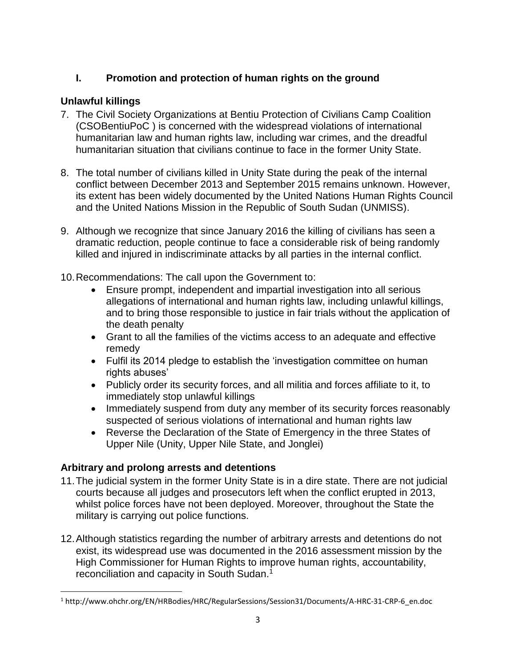## **I. Promotion and protection of human rights on the ground**

## **Unlawful killings**

- 7. The Civil Society Organizations at Bentiu Protection of Civilians Camp Coalition (CSOBentiuPoC ) is concerned with the widespread violations of international humanitarian law and human rights law, including war crimes, and the dreadful humanitarian situation that civilians continue to face in the former Unity State.
- 8. The total number of civilians killed in Unity State during the peak of the internal conflict between December 2013 and September 2015 remains unknown. However, its extent has been widely documented by the United Nations Human Rights Council and the United Nations Mission in the Republic of South Sudan (UNMISS).
- 9. Although we recognize that since January 2016 the killing of civilians has seen a dramatic reduction, people continue to face a considerable risk of being randomly killed and injured in indiscriminate attacks by all parties in the internal conflict.
- 10.Recommendations: The call upon the Government to:
	- Ensure prompt, independent and impartial investigation into all serious allegations of international and human rights law, including unlawful killings, and to bring those responsible to justice in fair trials without the application of the death penalty
	- Grant to all the families of the victims access to an adequate and effective remedy
	- Fulfil its 2014 pledge to establish the 'investigation committee on human rights abuses'
	- Publicly order its security forces, and all militia and forces affiliate to it, to immediately stop unlawful killings
	- Immediately suspend from duty any member of its security forces reasonably suspected of serious violations of international and human rights law
	- Reverse the Declaration of the State of Emergency in the three States of Upper Nile (Unity, Upper Nile State, and Jonglei)

## **Arbitrary and prolong arrests and detentions**

 $\overline{\phantom{a}}$ 

- 11.The judicial system in the former Unity State is in a dire state. There are not judicial courts because all judges and prosecutors left when the conflict erupted in 2013, whilst police forces have not been deployed. Moreover, throughout the State the military is carrying out police functions.
- 12.Although statistics regarding the number of arbitrary arrests and detentions do not exist, its widespread use was documented in the 2016 assessment mission by the High Commissioner for Human Rights to improve human rights, accountability, reconciliation and capacity in South Sudan.<sup>1</sup>

<sup>1</sup> http://www.ohchr.org/EN/HRBodies/HRC/RegularSessions/Session31/Documents/A-HRC-31-CRP-6\_en.doc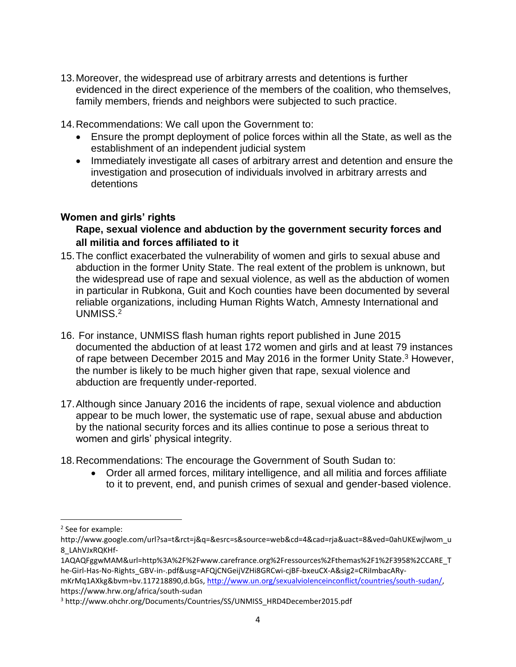- 13.Moreover, the widespread use of arbitrary arrests and detentions is further evidenced in the direct experience of the members of the coalition, who themselves, family members, friends and neighbors were subjected to such practice.
- 14.Recommendations: We call upon the Government to:
	- Ensure the prompt deployment of police forces within all the State, as well as the establishment of an independent judicial system
	- Immediately investigate all cases of arbitrary arrest and detention and ensure the investigation and prosecution of individuals involved in arbitrary arrests and detentions

### **Women and girls' rights**

## **Rape, sexual violence and abduction by the government security forces and all militia and forces affiliated to it**

- 15.The conflict exacerbated the vulnerability of women and girls to sexual abuse and abduction in the former Unity State. The real extent of the problem is unknown, but the widespread use of rape and sexual violence, as well as the abduction of women in particular in Rubkona, Guit and Koch counties have been documented by several reliable organizations, including Human Rights Watch, Amnesty International and UNMISS.<sup>2</sup>
- 16. For instance, UNMISS flash human rights report published in June 2015 documented the abduction of at least 172 women and girls and at least 79 instances of rape between December 2015 and May 2016 in the former Unity State.<sup>3</sup> However, the number is likely to be much higher given that rape, sexual violence and abduction are frequently under-reported.
- 17.Although since January 2016 the incidents of rape, sexual violence and abduction appear to be much lower, the systematic use of rape, sexual abuse and abduction by the national security forces and its allies continue to pose a serious threat to women and girls' physical integrity.
- 18.Recommendations: The encourage the Government of South Sudan to:
	- Order all armed forces, military intelligence, and all militia and forces affiliate to it to prevent, end, and punish crimes of sexual and gender-based violence.

 $\overline{\phantom{a}}$ 

<sup>2</sup> See for example:

http://www.google.com/url?sa=t&rct=j&q=&esrc=s&source=web&cd=4&cad=rja&uact=8&ved=0ahUKEwjlwom\_u 8\_LAhVJxRQKHf-

<sup>1</sup>AQAQFggwMAM&url=http%3A%2F%2Fwww.carefrance.org%2Fressources%2Fthemas%2F1%2F3958%2CCARE\_T he-Girl-Has-No-Rights\_GBV-in-.pdf&usg=AFQjCNGeijVZHi8GRCwi-cjBF-bxeuCX-A&sig2=CRiImbacARy-

mKrMq1AXkg&bvm=bv.117218890,d.bGs, [http://www.un.org/sexualviolenceinconflict/countries/south-sudan/,](http://www.un.org/sexualviolenceinconflict/countries/south-sudan/) https://www.hrw.org/africa/south-sudan

<sup>&</sup>lt;sup>3</sup> http://www.ohchr.org/Documents/Countries/SS/UNMISS\_HRD4December2015.pdf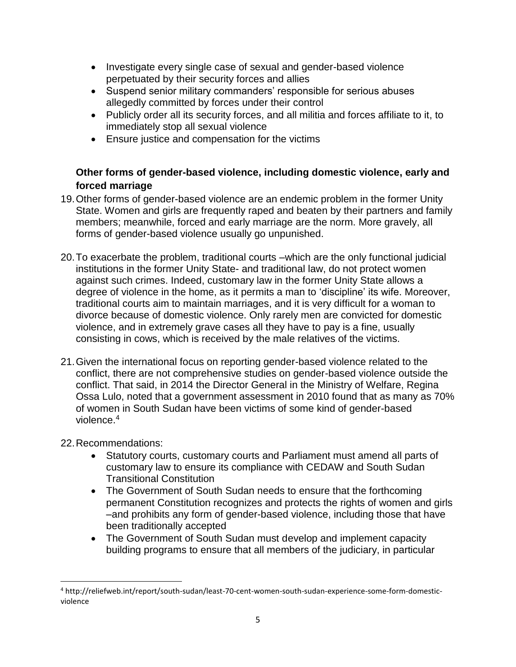- Investigate every single case of sexual and gender-based violence perpetuated by their security forces and allies
- Suspend senior military commanders' responsible for serious abuses allegedly committed by forces under their control
- Publicly order all its security forces, and all militia and forces affiliate to it, to immediately stop all sexual violence
- **Ensure justice and compensation for the victims**

## **Other forms of gender-based violence, including domestic violence, early and forced marriage**

- 19.Other forms of gender-based violence are an endemic problem in the former Unity State. Women and girls are frequently raped and beaten by their partners and family members; meanwhile, forced and early marriage are the norm. More gravely, all forms of gender-based violence usually go unpunished.
- 20.To exacerbate the problem, traditional courts –which are the only functional judicial institutions in the former Unity State- and traditional law, do not protect women against such crimes. Indeed, customary law in the former Unity State allows a degree of violence in the home, as it permits a man to 'discipline' its wife. Moreover, traditional courts aim to maintain marriages, and it is very difficult for a woman to divorce because of domestic violence. Only rarely men are convicted for domestic violence, and in extremely grave cases all they have to pay is a fine, usually consisting in cows, which is received by the male relatives of the victims.
- 21.Given the international focus on reporting gender-based violence related to the conflict, there are not comprehensive studies on gender-based violence outside the conflict. That said, in 2014 the Director General in the Ministry of Welfare, Regina Ossa Lulo, noted that a government assessment in 2010 found that as many as 70% of women in South Sudan have been victims of some kind of gender-based violence. $^4$

## 22.Recommendations:

- Statutory courts, customary courts and Parliament must amend all parts of customary law to ensure its compliance with CEDAW and South Sudan Transitional Constitution
- The Government of South Sudan needs to ensure that the forthcoming permanent Constitution recognizes and protects the rights of women and girls –and prohibits any form of gender-based violence, including those that have been traditionally accepted
- The Government of South Sudan must develop and implement capacity building programs to ensure that all members of the judiciary, in particular

l <sup>4</sup> http://reliefweb.int/report/south-sudan/least-70-cent-women-south-sudan-experience-some-form-domesticviolence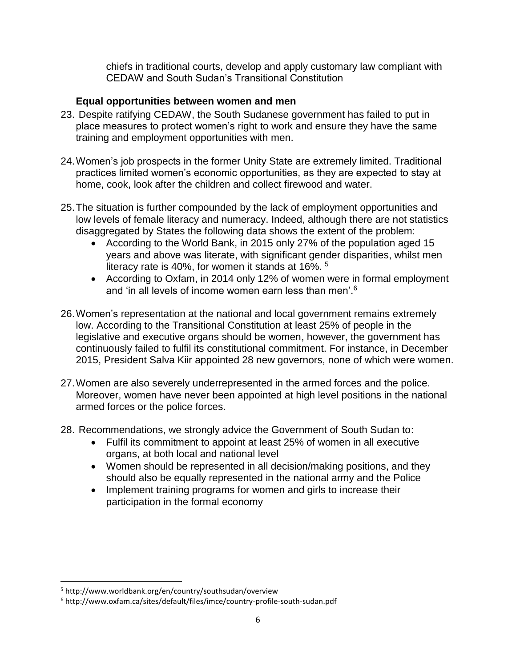chiefs in traditional courts, develop and apply customary law compliant with CEDAW and South Sudan's Transitional Constitution

### **Equal opportunities between women and men**

- 23. Despite ratifying CEDAW, the South Sudanese government has failed to put in place measures to protect women's right to work and ensure they have the same training and employment opportunities with men.
- 24.Women's job prospects in the former Unity State are extremely limited. Traditional practices limited women's economic opportunities, as they are expected to stay at home, cook, look after the children and collect firewood and water.
- 25.The situation is further compounded by the lack of employment opportunities and low levels of female literacy and numeracy. Indeed, although there are not statistics disaggregated by States the following data shows the extent of the problem:
	- According to the World Bank, in 2015 only 27% of the population aged 15 years and above was literate, with significant gender disparities, whilst men literacy rate is 40%, for women it stands at 16%. <sup>5</sup>
	- According to Oxfam, in 2014 only 12% of women were in formal employment and 'in all levels of income women earn less than men'.<sup>6</sup>
- 26.Women's representation at the national and local government remains extremely low. According to the Transitional Constitution at least 25% of people in the legislative and executive organs should be women, however, the government has continuously failed to fulfil its constitutional commitment. For instance, in December 2015, President Salva Kiir appointed 28 new governors, none of which were women.
- 27.Women are also severely underrepresented in the armed forces and the police. Moreover, women have never been appointed at high level positions in the national armed forces or the police forces.
- 28. Recommendations, we strongly advice the Government of South Sudan to:
	- Fulfil its commitment to appoint at least 25% of women in all executive organs, at both local and national level
	- Women should be represented in all decision/making positions, and they should also be equally represented in the national army and the Police
	- Implement training programs for women and girls to increase their participation in the formal economy

l

<sup>5</sup> http://www.worldbank.org/en/country/southsudan/overview

<sup>6</sup> http://www.oxfam.ca/sites/default/files/imce/country-profile-south-sudan.pdf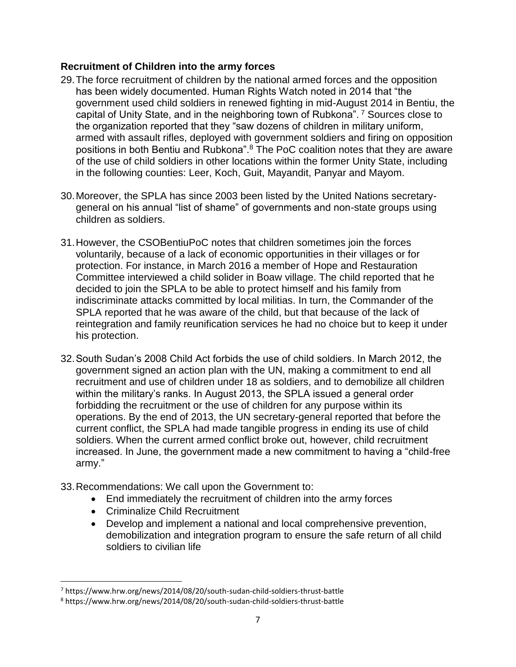### **Recruitment of Children into the army forces**

- 29.The force recruitment of children by the national armed forces and the opposition has been widely documented. Human Rights Watch noted in 2014 that "the government used child soldiers in renewed fighting in mid-August 2014 in Bentiu, the capital of Unity State, and in the neighboring town of Rubkona". <sup>7</sup> Sources close to the organization reported that they "saw dozens of children in military uniform, armed with assault rifles, deployed with government soldiers and firing on opposition positions in both Bentiu and Rubkona".<sup>8</sup> The PoC coalition notes that they are aware of the use of child soldiers in other locations within the former Unity State, including in the following counties: Leer, Koch, Guit, Mayandit, Panyar and Mayom.
- 30.Moreover, the SPLA has since 2003 been listed by the United Nations secretarygeneral on his annual "list of shame" of governments and non-state groups using children as soldiers.
- 31.However, the CSOBentiuPoC notes that children sometimes join the forces voluntarily, because of a lack of economic opportunities in their villages or for protection. For instance, in March 2016 a member of Hope and Restauration Committee interviewed a child solider in Boaw village. The child reported that he decided to join the SPLA to be able to protect himself and his family from indiscriminate attacks committed by local militias. In turn, the Commander of the SPLA reported that he was aware of the child, but that because of the lack of reintegration and family reunification services he had no choice but to keep it under his protection.
- 32.South Sudan's 2008 Child Act forbids the use of child soldiers. In March 2012, the government signed an action plan with the UN, making a commitment to end all recruitment and use of children under 18 as soldiers, and to demobilize all children within the military's ranks. In August 2013, the SPLA issued a general order forbidding the recruitment or the use of children for any purpose within its operations. By the end of 2013, the UN secretary-general reported that before the current conflict, the SPLA had made tangible progress in ending its use of child soldiers. When the current armed conflict broke out, however, child recruitment increased. In June, the government made a new commitment to having a "child-free army."
- 33.Recommendations: We call upon the Government to:
	- End immediately the recruitment of children into the army forces
	- Criminalize Child Recruitment

l

 Develop and implement a national and local comprehensive prevention, demobilization and integration program to ensure the safe return of all child soldiers to civilian life

<sup>7</sup> https://www.hrw.org/news/2014/08/20/south-sudan-child-soldiers-thrust-battle

<sup>8</sup> https://www.hrw.org/news/2014/08/20/south-sudan-child-soldiers-thrust-battle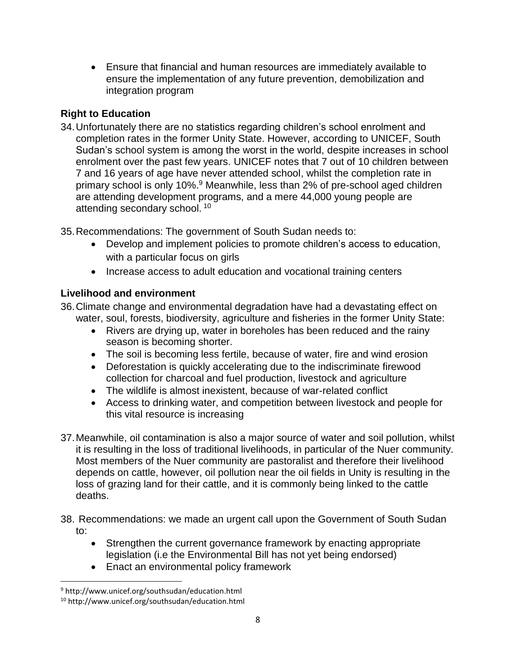Ensure that financial and human resources are immediately available to ensure the implementation of any future prevention, demobilization and integration program

## **Right to Education**

34.Unfortunately there are no statistics regarding children's school enrolment and completion rates in the former Unity State. However, according to UNICEF, South Sudan's school system is among the worst in the world, despite increases in school enrolment over the past few years. UNICEF notes that 7 out of 10 children between 7 and 16 years of age have never attended school, whilst the completion rate in primary school is only 10%.<sup>9</sup> Meanwhile, less than 2% of pre-school aged children are attending development programs, and a mere 44,000 young people are attending secondary school.<sup>10</sup>

35.Recommendations: The government of South Sudan needs to:

- Develop and implement policies to promote children's access to education, with a particular focus on girls
- Increase access to adult education and vocational training centers

# **Livelihood and environment**

36.Climate change and environmental degradation have had a devastating effect on water, soul, forests, biodiversity, agriculture and fisheries in the former Unity State:

- Rivers are drying up, water in boreholes has been reduced and the rainy season is becoming shorter.
- The soil is becoming less fertile, because of water, fire and wind erosion
- Deforestation is quickly accelerating due to the indiscriminate firewood collection for charcoal and fuel production, livestock and agriculture
- The wildlife is almost inexistent, because of war-related conflict
- Access to drinking water, and competition between livestock and people for this vital resource is increasing
- 37.Meanwhile, oil contamination is also a major source of water and soil pollution, whilst it is resulting in the loss of traditional livelihoods, in particular of the Nuer community. Most members of the Nuer community are pastoralist and therefore their livelihood depends on cattle, however, oil pollution near the oil fields in Unity is resulting in the loss of grazing land for their cattle, and it is commonly being linked to the cattle deaths.
- 38. Recommendations: we made an urgent call upon the Government of South Sudan to:
	- Strengthen the current governance framework by enacting appropriate legislation (i.e the Environmental Bill has not yet being endorsed)
	- Enact an environmental policy framework

l

<sup>9</sup> http://www.unicef.org/southsudan/education.html

<sup>10</sup> http://www.unicef.org/southsudan/education.html